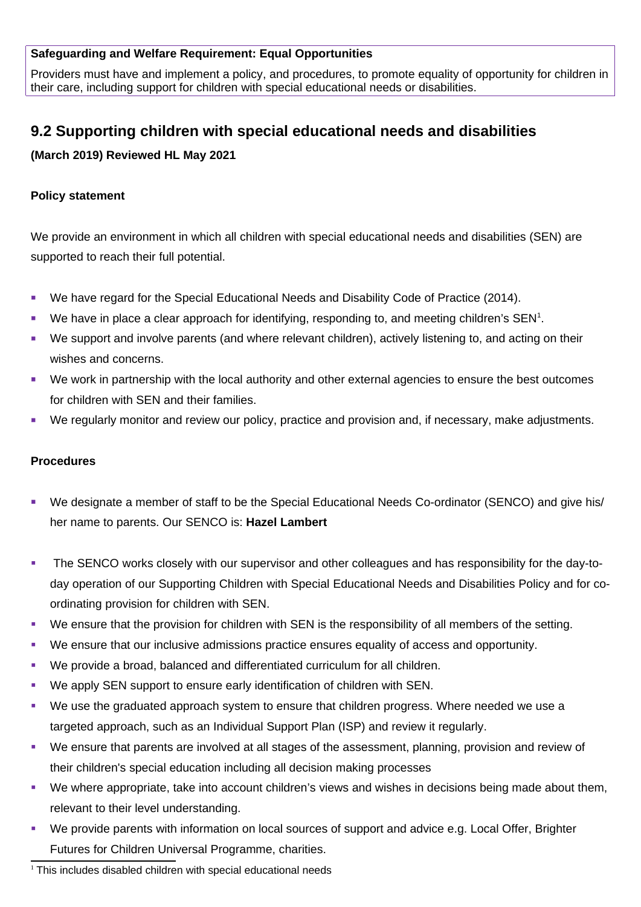## **Safeguarding and Welfare Requirement: Equal Opportunities**

Providers must have and implement a policy, and procedures, to promote equality of opportunity for children in their care, including support for children with special educational needs or disabilities.

# **9.2 Supporting children with special educational needs and disabilities**

**(March 2019) Reviewed HL May 2021**

## **Policy statement**

We provide an environment in which all children with special educational needs and disabilities (SEN) are supported to reach their full potential.

- We have regard for the Special Educational Needs and Disability Code of Practice (2014).
- $\blacksquare$  We have in place a clear approach for identifying, responding to, and meeting children's SEN<sup>[1](#page-0-0)</sup>.
- We support and involve parents (and where relevant children), actively listening to, and acting on their wishes and concerns.
- We work in partnership with the local authority and other external agencies to ensure the best outcomes for children with SEN and their families.
- We regularly monitor and review our policy, practice and provision and, if necessary, make adjustments.

#### **Procedures**

- We designate a member of staff to be the Special Educational Needs Co-ordinator (SENCO) and give his/ her name to parents. Our SENCO is: **Hazel Lambert**
- The SENCO works closely with our supervisor and other colleagues and has responsibility for the day-today operation of our Supporting Children with Special Educational Needs and Disabilities Policy and for coordinating provision for children with SEN.
- We ensure that the provision for children with SEN is the responsibility of all members of the setting.
- We ensure that our inclusive admissions practice ensures equality of access and opportunity.
- We provide a broad, balanced and differentiated curriculum for all children.
- We apply SEN support to ensure early identification of children with SEN.
- We use the graduated approach system to ensure that children progress. Where needed we use a targeted approach, such as an Individual Support Plan (ISP) and review it regularly.
- We ensure that parents are involved at all stages of the assessment, planning, provision and review of their children's special education including all decision making processes
- We where appropriate, take into account children's views and wishes in decisions being made about them, relevant to their level understanding.
- We provide parents with information on local sources of support and advice e.g. Local Offer, Brighter Futures for Children Universal Programme, charities.

<span id="page-0-0"></span><sup>&</sup>lt;sup>1</sup> This includes disabled children with special educational needs